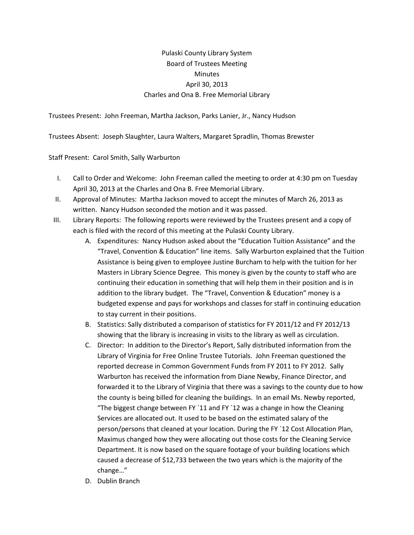## Pulaski County Library System Board of Trustees Meeting **Minutes** April 30, 2013 Charles and Ona B. Free Memorial Library

Trustees Present: John Freeman, Martha Jackson, Parks Lanier, Jr., Nancy Hudson

Trustees Absent: Joseph Slaughter, Laura Walters, Margaret Spradlin, Thomas Brewster

Staff Present: Carol Smith, Sally Warburton

- I. Call to Order and Welcome: John Freeman called the meeting to order at 4:30 pm on Tuesday April 30, 2013 at the Charles and Ona B. Free Memorial Library.
- II. Approval of Minutes: Martha Jackson moved to accept the minutes of March 26, 2013 as written. Nancy Hudson seconded the motion and it was passed.
- III. Library Reports: The following reports were reviewed by the Trustees present and a copy of each is filed with the record of this meeting at the Pulaski County Library.
	- A. Expenditures: Nancy Hudson asked about the "Education Tuition Assistance" and the "Travel, Convention & Education" line items. Sally Warburton explained that the Tuition Assistance is being given to employee Justine Burcham to help with the tuition for her Masters in Library Science Degree. This money is given by the county to staff who are continuing their education in something that will help them in their position and is in addition to the library budget. The "Travel, Convention & Education" money is a budgeted expense and pays for workshops and classes for staff in continuing education to stay current in their positions.
	- B. Statistics: Sally distributed a comparison of statistics for FY 2011/12 and FY 2012/13 showing that the library is increasing in visits to the library as well as circulation.
	- C. Director: In addition to the Director's Report, Sally distributed information from the Library of Virginia for Free Online Trustee Tutorials. John Freeman questioned the reported decrease in Common Government Funds from FY 2011 to FY 2012. Sally Warburton has received the information from Diane Newby, Finance Director, and forwarded it to the Library of Virginia that there was a savings to the county due to how the county is being billed for cleaning the buildings. In an email Ms. Newby reported, "The biggest change between FY `11 and FY `12 was a change in how the Cleaning Services are allocated out. It used to be based on the estimated salary of the person/persons that cleaned at your location. During the FY `12 Cost Allocation Plan, Maximus changed how they were allocating out those costs for the Cleaning Service Department. It is now based on the square footage of your building locations which caused a decrease of \$12,733 between the two years which is the majority of the change…"
	- D. Dublin Branch